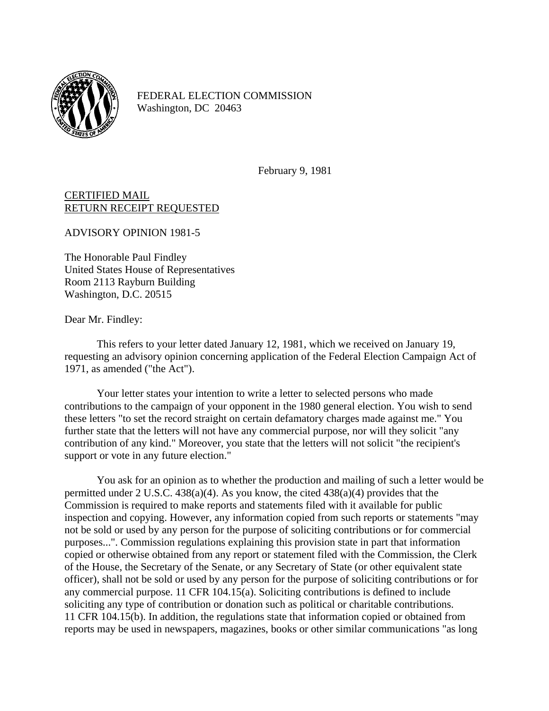

FEDERAL ELECTION COMMISSION Washington, DC 20463

February 9, 1981

CERTIFIED MAIL RETURN RECEIPT REQUESTED

ADVISORY OPINION 1981-5

The Honorable Paul Findley United States House of Representatives Room 2113 Rayburn Building Washington, D.C. 20515

Dear Mr. Findley:

This refers to your letter dated January 12, 1981, which we received on January 19, requesting an advisory opinion concerning application of the Federal Election Campaign Act of 1971, as amended ("the Act").

Your letter states your intention to write a letter to selected persons who made contributions to the campaign of your opponent in the 1980 general election. You wish to send these letters "to set the record straight on certain defamatory charges made against me." You further state that the letters will not have any commercial purpose, nor will they solicit "any contribution of any kind." Moreover, you state that the letters will not solicit "the recipient's support or vote in any future election."

You ask for an opinion as to whether the production and mailing of such a letter would be permitted under 2 U.S.C. 438(a)(4). As you know, the cited 438(a)(4) provides that the Commission is required to make reports and statements filed with it available for public inspection and copying. However, any information copied from such reports or statements "may not be sold or used by any person for the purpose of soliciting contributions or for commercial purposes...". Commission regulations explaining this provision state in part that information copied or otherwise obtained from any report or statement filed with the Commission, the Clerk of the House, the Secretary of the Senate, or any Secretary of State (or other equivalent state officer), shall not be sold or used by any person for the purpose of soliciting contributions or for any commercial purpose. 11 CFR 104.15(a). Soliciting contributions is defined to include soliciting any type of contribution or donation such as political or charitable contributions. 11 CFR 104.15(b). In addition, the regulations state that information copied or obtained from reports may be used in newspapers, magazines, books or other similar communications "as long